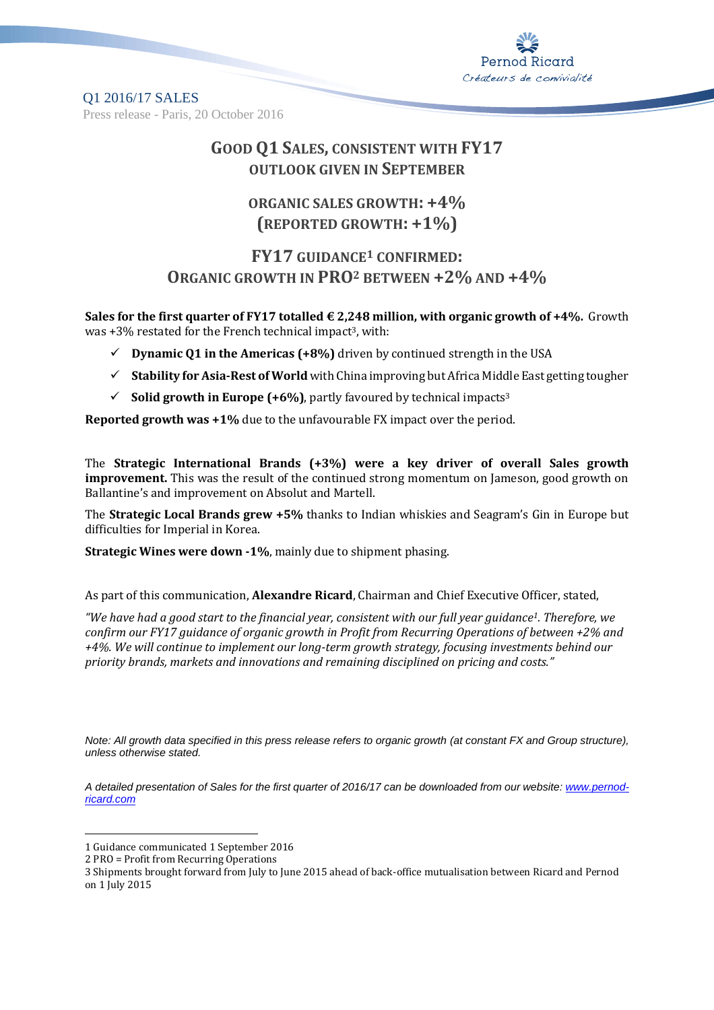Q1 2016/17 SALES Press release - Paris, 20 October 2016

# **GOOD Q1 SALES, CONSISTENT WITH FY17 OUTLOOK GIVEN IN SEPTEMBER**

Pernod Ricard Créateurs de convivialité

# **ORGANIC SALES GROWTH: +4% (REPORTED GROWTH: +1%)**

# **FY17 GUIDANCE<sup>1</sup> CONFIRMED: ORGANIC GROWTH IN PRO<sup>2</sup> BETWEEN +2% AND +4%**

**Sales for the first quarter of FY17 totalled € 2,248 million, with organic growth of +4%.** Growth was  $+3\%$  restated for the French technical impact<sup>3</sup>, with:

- **Dynamic Q1 in the Americas (+8%)** driven by continued strength in the USA
- **Stability for Asia-Rest of World** with China improving but Africa Middle East getting tougher
- $\checkmark$  **Solid growth in Europe (+6%)**, partly favoured by technical impacts<sup>3</sup>

**Reported growth was +1%** due to the unfavourable FX impact over the period.

The **Strategic International Brands (+3%) were a key driver of overall Sales growth improvement.** This was the result of the continued strong momentum on Jameson, good growth on Ballantine's and improvement on Absolut and Martell.

The **Strategic Local Brands grew +5%** thanks to Indian whiskies and Seagram's Gin in Europe but difficulties for Imperial in Korea.

**Strategic Wines were down -1%**, mainly due to shipment phasing.

As part of this communication, **Alexandre Ricard**, Chairman and Chief Executive Officer, stated,

*"We have had a good start to the financial year, consistent with our full year guidance1. Therefore, we confirm our FY17 guidance of organic growth in Profit from Recurring Operations of between +2% and +4%. We will continue to implement our long-term growth strategy, focusing investments behind our priority brands, markets and innovations and remaining disciplined on pricing and costs."*

*Note: All growth data specified in this press release refers to organic growth (at constant FX and Group structure), unless otherwise stated.*

*A detailed presentation of Sales for the first quarter of 2016/17 can be downloaded from our website: [www.pernod](http://www.pernod-ricard.com/)[ricard.com](http://www.pernod-ricard.com/)*

 $\overline{a}$ 

<sup>1</sup> Guidance communicated 1 September 2016

<sup>2</sup> PRO = Profit from Recurring Operations

<sup>3</sup> Shipments brought forward from July to June 2015 ahead of back-office mutualisation between Ricard and Pernod on 1 July 2015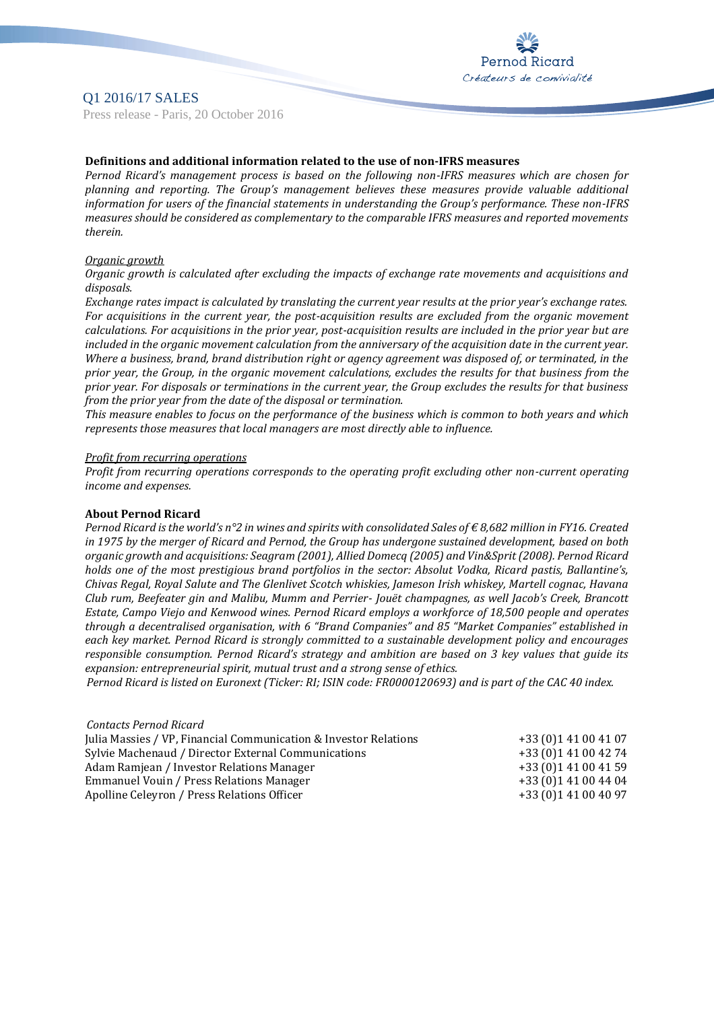

## Q1 2016/17 SALES

Press release - Paris, 20 October 2016

#### **Definitions and additional information related to the use of non-IFRS measures**

*Pernod Ricard's management process is based on the following non-IFRS measures which are chosen for planning and reporting. The Group's management believes these measures provide valuable additional information for users of the financial statements in understanding the Group's performance. These non-IFRS measures should be considered as complementary to the comparable IFRS measures and reported movements therein.*

#### *Organic growth*

*Organic growth is calculated after excluding the impacts of exchange rate movements and acquisitions and disposals.* 

*Exchange rates impact is calculated by translating the current year results at the prior year's exchange rates. For acquisitions in the current year, the post-acquisition results are excluded from the organic movement calculations. For acquisitions in the prior year, post-acquisition results are included in the prior year but are included in the organic movement calculation from the anniversary of the acquisition date in the current year. Where a business, brand, brand distribution right or agency agreement was disposed of, or terminated, in the prior year, the Group, in the organic movement calculations, excludes the results for that business from the prior year. For disposals or terminations in the current year, the Group excludes the results for that business from the prior year from the date of the disposal or termination.*

*This measure enables to focus on the performance of the business which is common to both years and which represents those measures that local managers are most directly able to influence.*

#### *Profit from recurring operations*

*Profit from recurring operations corresponds to the operating profit excluding other non-current operating income and expenses.*

#### **About Pernod Ricard**

*Pernod Ricard is the world's n°2 in wines and spirits with consolidated Sales of € 8,682 million in FY16. Created in 1975 by the merger of Ricard and Pernod, the Group has undergone sustained development, based on both organic growth and acquisitions: Seagram (2001), Allied Domecq (2005) and Vin&Sprit (2008). Pernod Ricard holds one of the most prestigious brand portfolios in the sector: Absolut Vodka, Ricard pastis, Ballantine's, Chivas Regal, Royal Salute and The Glenlivet Scotch whiskies, Jameson Irish whiskey, Martell cognac, Havana Club rum, Beefeater gin and Malibu, Mumm and Perrier- Jouët champagnes, as well Jacob's Creek, Brancott Estate, Campo Viejo and Kenwood wines. Pernod Ricard employs a workforce of 18,500 people and operates through a decentralised organisation, with 6 "Brand Companies" and 85 "Market Companies" established in each key market. Pernod Ricard is strongly committed to a sustainable development policy and encourages responsible consumption. Pernod Ricard's strategy and ambition are based on 3 key values that guide its expansion: entrepreneurial spirit, mutual trust and a strong sense of ethics.*

*Pernod Ricard is listed on Euronext (Ticker: RI; ISIN code: FR0000120693) and is part of the CAC 40 index.*

#### *Contacts Pernod Ricard*

| Julia Massies / VP, Financial Communication & Investor Relations | +33 (0) 141 00 41 07 |
|------------------------------------------------------------------|----------------------|
| Sylvie Machenaud / Director External Communications              | +33 (0) 141 00 42 74 |
| Adam Ramjean / Investor Relations Manager                        | +33 (0) 141 00 41 59 |
| Emmanuel Vouin / Press Relations Manager                         | +33 (0) 141 00 44 04 |
| Apolline Celeyron / Press Relations Officer                      | +33 (0) 141 00 40 97 |